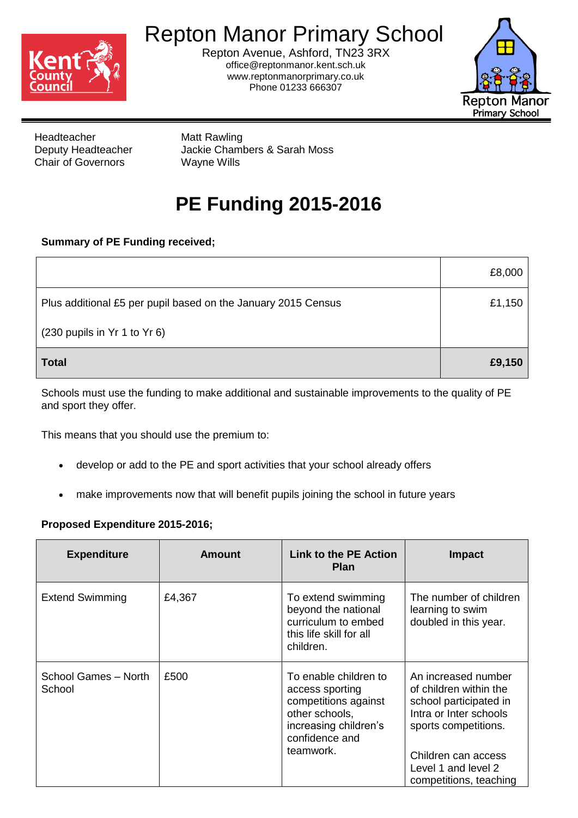

## Repton Manor Primary School

Repton Avenue, Ashford, TN23 3RX office@reptonmanor.kent.sch.uk www.reptonmanorprimary.co.uk Phone 01233 666307



Headteacher Matt Rawling Chair of Governors Wayne Wills

Deputy Headteacher Jackie Chambers & Sarah Moss

## **PE Funding 2015-2016**

## **Summary of PE Funding received;**

|                                                               | £8,000 |
|---------------------------------------------------------------|--------|
| Plus additional £5 per pupil based on the January 2015 Census | £1,150 |
| (230 pupils in Yr 1 to Yr 6)                                  |        |
| <b>Total</b>                                                  | £9,150 |

Schools must use the funding to make additional and sustainable improvements to the quality of PE and sport they offer.

This means that you should use the premium to:

- develop or add to the PE and sport activities that your school already offers
- make improvements now that will benefit pupils joining the school in future years

## **Proposed Expenditure 2015-2016;**

| <b>Expenditure</b>             | <b>Amount</b> | <b>Link to the PE Action</b><br><b>Plan</b>                                                                                                | Impact                                                                                                                                                                                            |
|--------------------------------|---------------|--------------------------------------------------------------------------------------------------------------------------------------------|---------------------------------------------------------------------------------------------------------------------------------------------------------------------------------------------------|
| <b>Extend Swimming</b>         | £4,367        | To extend swimming<br>beyond the national<br>curriculum to embed<br>this life skill for all<br>children.                                   | The number of children<br>learning to swim<br>doubled in this year.                                                                                                                               |
| School Games - North<br>School | £500          | To enable children to<br>access sporting<br>competitions against<br>other schools,<br>increasing children's<br>confidence and<br>teamwork. | An increased number<br>of children within the<br>school participated in<br>Intra or Inter schools<br>sports competitions.<br>Children can access<br>Level 1 and level 2<br>competitions, teaching |